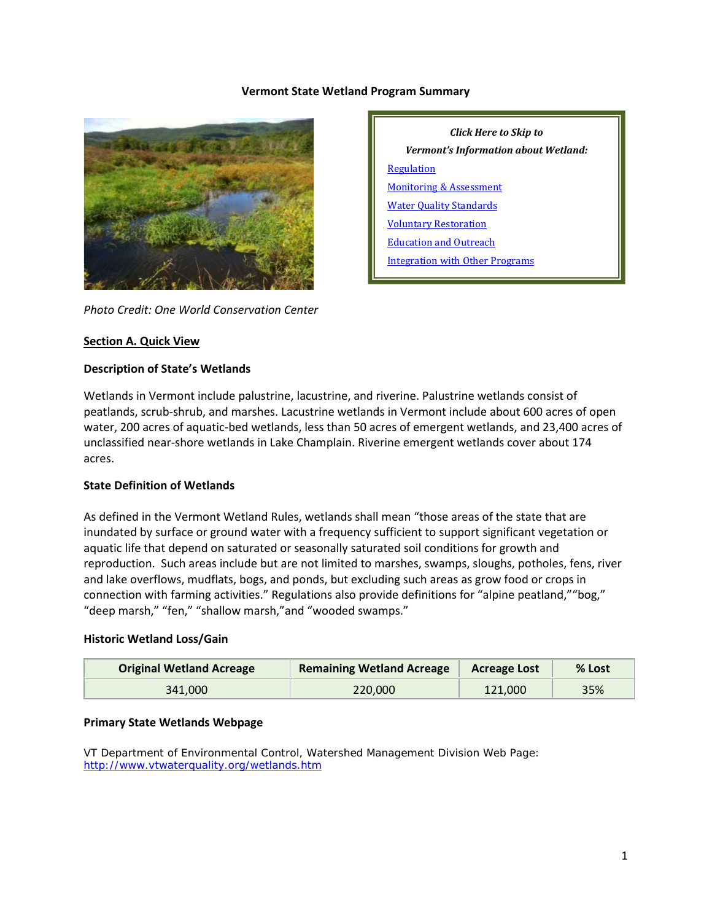#### **Vermont State Wetland Program Summary**



*Photo Credit: One World Conservation Center*

#### **Section A. Quick View**

#### **Description of State's Wetlands**

Wetlands in Vermont include palustrine, lacustrine, and riverine. Palustrine wetlands consist of peatlands, scrub-shrub, and marshes. Lacustrine wetlands in Vermont include about 600 acres of open water, 200 acres of aquatic-bed wetlands, less than 50 acres of emergent wetlands, and 23,400 acres of unclassified near-shore wetlands in Lake Champlain. Riverine emergent wetlands cover about 174 acres.

#### **State Definition of Wetlands**

As defined in the Vermont Wetland Rules, wetlands shall mean "those areas of the state that are inundated by surface or ground water with a frequency sufficient to support significant vegetation or aquatic life that depend on saturated or seasonally saturated soil conditions for growth and reproduction. Such areas include but are not limited to marshes, swamps, sloughs, potholes, fens, river and lake overflows, mudflats, bogs, and ponds, but excluding such areas as grow food or crops in connection with farming activities." Regulations also provide definitions for "alpine peatland,""bog," "deep marsh," "fen," "shallow marsh,"and "wooded swamps."

#### **Historic Wetland Loss/Gain**

| <b>Original Wetland Acreage</b> | <b>Remaining Wetland Acreage</b> | <b>Acreage Lost</b> | % Lost |
|---------------------------------|----------------------------------|---------------------|--------|
| 341.000                         | 220.000                          | 121.000             | 35%    |

#### **Primary State Wetlands Webpage**

VT Department of Environmental Control, Watershed Management Division Web Page: <http://www.vtwaterquality.org/wetlands.htm>

*Click Here to Skip to Vermont's Information about Wetland:* [Regulation](#page-2-0) [Monitoring & Assessment](#page-6-0) [Water Quality Standards](#page-9-0) [Voluntary Restoration](#page-10-0) [Education and Outreach](#page-11-0) [Integration with Other Programs](#page-11-1)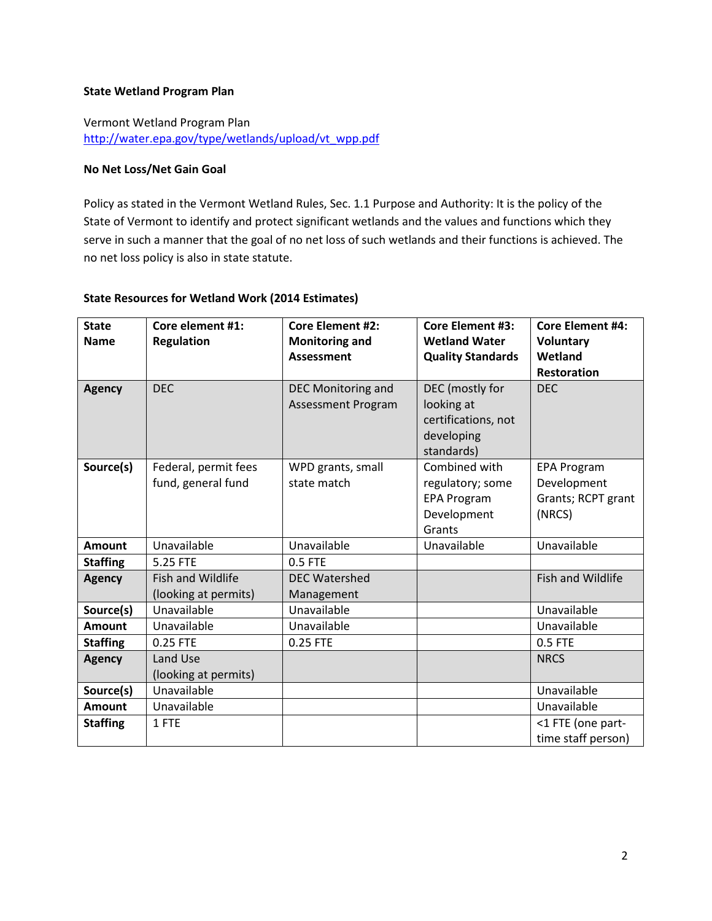### **State Wetland Program Plan**

Vermont Wetland Program Plan [http://water.epa.gov/type/wetlands/upload/vt\\_wpp.pdf](http://water.epa.gov/type/wetlands/upload/vt_wpp.pdf)

### **No Net Loss/Net Gain Goal**

Policy as stated in the Vermont Wetland Rules, Sec. 1.1 Purpose and Authority: It is the policy of the State of Vermont to identify and protect significant wetlands and the values and functions which they serve in such a manner that the goal of no net loss of such wetlands and their functions is achieved. The no net loss policy is also in state statute.

### **State Resources for Wetland Work (2014 Estimates)**

| <b>State</b><br><b>Name</b> | Core element #1:<br><b>Regulation</b> | <b>Core Element #2:</b><br><b>Monitoring and</b><br><b>Assessment</b> | <b>Core Element #3:</b><br><b>Wetland Water</b><br><b>Quality Standards</b> | <b>Core Element #4:</b><br><b>Voluntary</b><br>Wetland |
|-----------------------------|---------------------------------------|-----------------------------------------------------------------------|-----------------------------------------------------------------------------|--------------------------------------------------------|
| <b>Agency</b>               | <b>DEC</b>                            | DEC Monitoring and                                                    | DEC (mostly for                                                             | <b>Restoration</b><br><b>DEC</b>                       |
|                             |                                       | <b>Assessment Program</b>                                             | looking at                                                                  |                                                        |
|                             |                                       |                                                                       | certifications, not                                                         |                                                        |
|                             |                                       |                                                                       | developing                                                                  |                                                        |
|                             |                                       |                                                                       | standards)                                                                  |                                                        |
| Source(s)                   | Federal, permit fees                  | WPD grants, small                                                     | Combined with                                                               | <b>EPA Program</b>                                     |
|                             | fund, general fund                    | state match                                                           | regulatory; some                                                            | Development                                            |
|                             |                                       |                                                                       | <b>EPA Program</b>                                                          | Grants; RCPT grant                                     |
|                             |                                       |                                                                       | Development                                                                 | (NRCS)                                                 |
|                             |                                       |                                                                       | Grants                                                                      |                                                        |
| <b>Amount</b>               | Unavailable                           | Unavailable                                                           | Unavailable                                                                 | Unavailable                                            |
| <b>Staffing</b>             | 5.25 FTE                              | 0.5 FTE                                                               |                                                                             |                                                        |
| <b>Agency</b>               | <b>Fish and Wildlife</b>              | <b>DEC Watershed</b>                                                  |                                                                             | <b>Fish and Wildlife</b>                               |
|                             | (looking at permits)                  | Management                                                            |                                                                             |                                                        |
| Source(s)                   | Unavailable                           | Unavailable                                                           |                                                                             | Unavailable                                            |
| <b>Amount</b>               | Unavailable                           | Unavailable                                                           |                                                                             | Unavailable                                            |
| <b>Staffing</b>             | 0.25 FTE                              | 0.25 FTE                                                              |                                                                             | 0.5 FTE                                                |
| <b>Agency</b>               | Land Use                              |                                                                       |                                                                             | <b>NRCS</b>                                            |
|                             | (looking at permits)                  |                                                                       |                                                                             |                                                        |
| Source(s)                   | Unavailable                           |                                                                       |                                                                             | Unavailable                                            |
| <b>Amount</b>               | Unavailable                           |                                                                       |                                                                             | Unavailable                                            |
| <b>Staffing</b>             | 1 FTE                                 |                                                                       |                                                                             | <1 FTE (one part-                                      |
|                             |                                       |                                                                       |                                                                             | time staff person)                                     |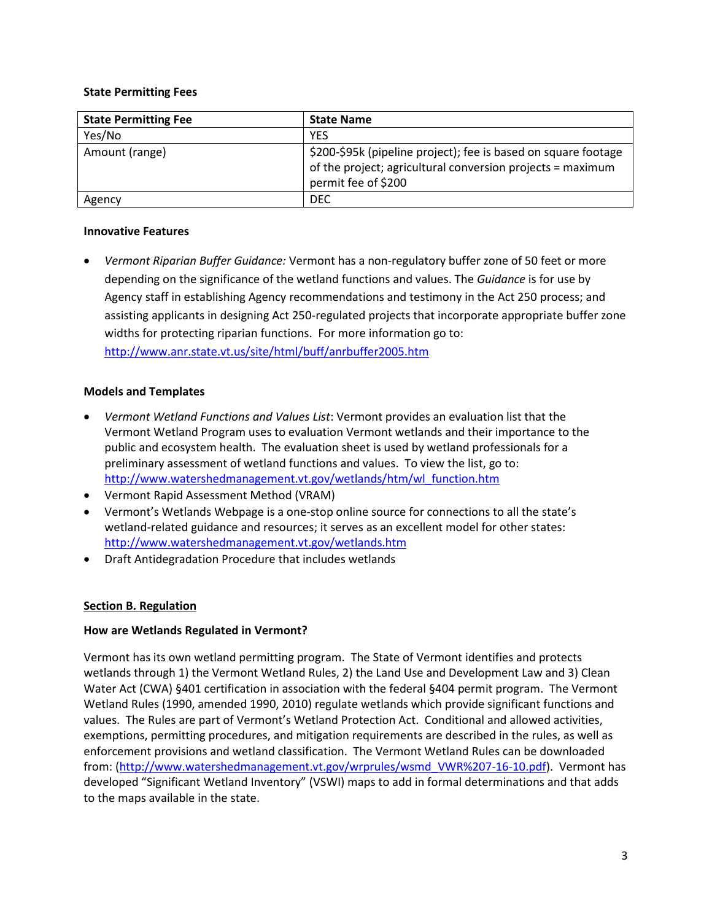### **State Permitting Fees**

| <b>State Permitting Fee</b> | <b>State Name</b>                                                                                                                                   |
|-----------------------------|-----------------------------------------------------------------------------------------------------------------------------------------------------|
| Yes/No                      | <b>YES</b>                                                                                                                                          |
| Amount (range)              | \$200-\$95k (pipeline project); fee is based on square footage<br>of the project; agricultural conversion projects = maximum<br>permit fee of \$200 |
| Agency                      | <b>DEC</b>                                                                                                                                          |

### **Innovative Features**

• *Vermont Riparian Buffer Guidance:* Vermont has a non-regulatory buffer zone of 50 feet or more depending on the significance of the wetland functions and values. The *Guidance* is for use by Agency staff in establishing Agency recommendations and testimony in the Act 250 process; and assisting applicants in designing Act 250-regulated projects that incorporate appropriate buffer zone widths for protecting riparian functions. For more information go to: <http://www.anr.state.vt.us/site/html/buff/anrbuffer2005.htm>

## **Models and Templates**

- *Vermont Wetland Functions and Values List*: Vermont provides an evaluation list that the Vermont Wetland Program uses to evaluation Vermont wetlands and their importance to the public and ecosystem health. The evaluation sheet is used by wetland professionals for a preliminary assessment of wetland functions and values. To view the list, go to: [http://www.watershedmanagement.vt.gov/wetlands/htm/wl\\_function.htm](http://www.watershedmanagement.vt.gov/wetlands/htm/wl_function.htm)
- Vermont Rapid Assessment Method (VRAM)
- Vermont's Wetlands Webpage is a one-stop online source for connections to all the state's wetland-related guidance and resources; it serves as an excellent model for other states: <http://www.watershedmanagement.vt.gov/wetlands.htm>
- Draft Antidegradation Procedure that includes wetlands

# <span id="page-2-0"></span>**Section B. Regulation**

# **How are Wetlands Regulated in Vermont?**

Vermont has its own wetland permitting program. The State of Vermont identifies and protects wetlands through 1) the Vermont Wetland Rules, 2) the Land Use and Development Law and 3) Clean Water Act (CWA) §401 certification in association with the federal §404 permit program. The Vermont Wetland Rules (1990, amended 1990, 2010) regulate wetlands which provide significant functions and values. The Rules are part of Vermont's Wetland Protection Act. Conditional and allowed activities, exemptions, permitting procedures, and mitigation requirements are described in the rules, as well as enforcement provisions and wetland classification. The Vermont Wetland Rules can be downloaded from: [\(http://www.watershedmanagement.vt.gov/wrprules/wsmd\\_VWR%207-16-10.pdf\)](http://www.watershedmanagement.vt.gov/wrprules/wsmd_VWR%207-16-10.pdf). Vermont has developed "Significant Wetland Inventory" (VSWI) maps to add in formal determinations and that adds to the maps available in the state.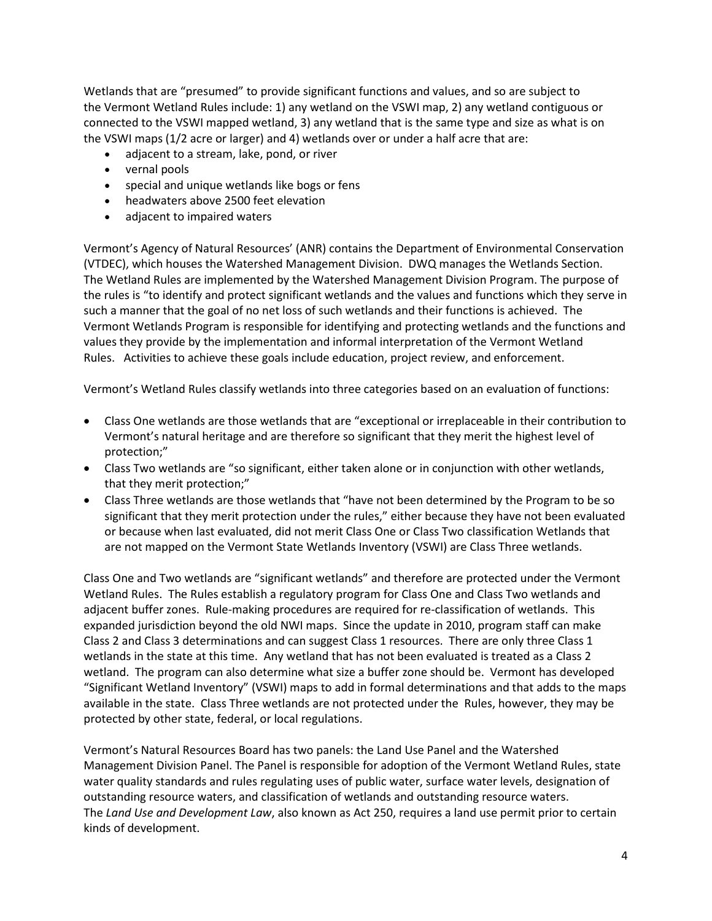Wetlands that are "presumed" to provide significant functions and values, and so are subject to the Vermont Wetland Rules include: 1) any wetland on the VSWI map, 2) any wetland contiguous or connected to the VSWI mapped wetland, 3) any wetland that is the same type and size as what is on the VSWI maps (1/2 acre or larger) and 4) wetlands over or under a half acre that are:

- adjacent to a stream, lake, pond, or river
- vernal pools
- special and unique wetlands like bogs or fens
- headwaters above 2500 feet elevation
- adjacent to impaired waters

Vermont's Agency of Natural Resources' (ANR) contains the Department of Environmental Conservation (VTDEC), which houses the Watershed Management Division. DWQ manages the Wetlands Section. The Wetland Rules are implemented by the Watershed Management Division Program. The purpose of the rules is "to identify and protect significant wetlands and the values and functions which they serve in such a manner that the goal of no net loss of such wetlands and their functions is achieved. The Vermont Wetlands Program is responsible for identifying and protecting wetlands and the functions and values they provide by the implementation and informal interpretation of the Vermont Wetland Rules. Activities to achieve these goals include education, project review, and enforcement.

Vermont's Wetland Rules classify wetlands into three categories based on an evaluation of functions:

- Class One wetlands are those wetlands that are "exceptional or irreplaceable in their contribution to Vermont's natural heritage and are therefore so significant that they merit the highest level of protection;"
- Class Two wetlands are "so significant, either taken alone or in conjunction with other wetlands, that they merit protection;"
- Class Three wetlands are those wetlands that "have not been determined by the Program to be so significant that they merit protection under the rules," either because they have not been evaluated or because when last evaluated, did not merit Class One or Class Two classification Wetlands that are not mapped on the Vermont State Wetlands Inventory (VSWI) are Class Three wetlands.

Class One and Two wetlands are "significant wetlands" and therefore are protected under the Vermont Wetland Rules. The Rules establish a regulatory program for Class One and Class Two wetlands and adjacent buffer zones. Rule-making procedures are required for re-classification of wetlands. This expanded jurisdiction beyond the old NWI maps. Since the update in 2010, program staff can make Class 2 and Class 3 determinations and can suggest Class 1 resources. There are only three Class 1 wetlands in the state at this time. Any wetland that has not been evaluated is treated as a Class 2 wetland. The program can also determine what size a buffer zone should be. Vermont has developed "Significant Wetland Inventory" (VSWI) maps to add in formal determinations and that adds to the maps available in the state. Class Three wetlands are not protected under the Rules, however, they may be protected by other state, federal, or local regulations.

Vermont's Natural Resources Board has two panels: the Land Use Panel and the Watershed Management Division Panel. The Panel is responsible for adoption of the Vermont Wetland Rules, state water quality standards and rules regulating uses of public water, surface water levels, designation of outstanding resource waters, and classification of wetlands and outstanding resource waters. The *Land Use and Development Law*, also known as Act 250, requires a land use permit prior to certain kinds of development.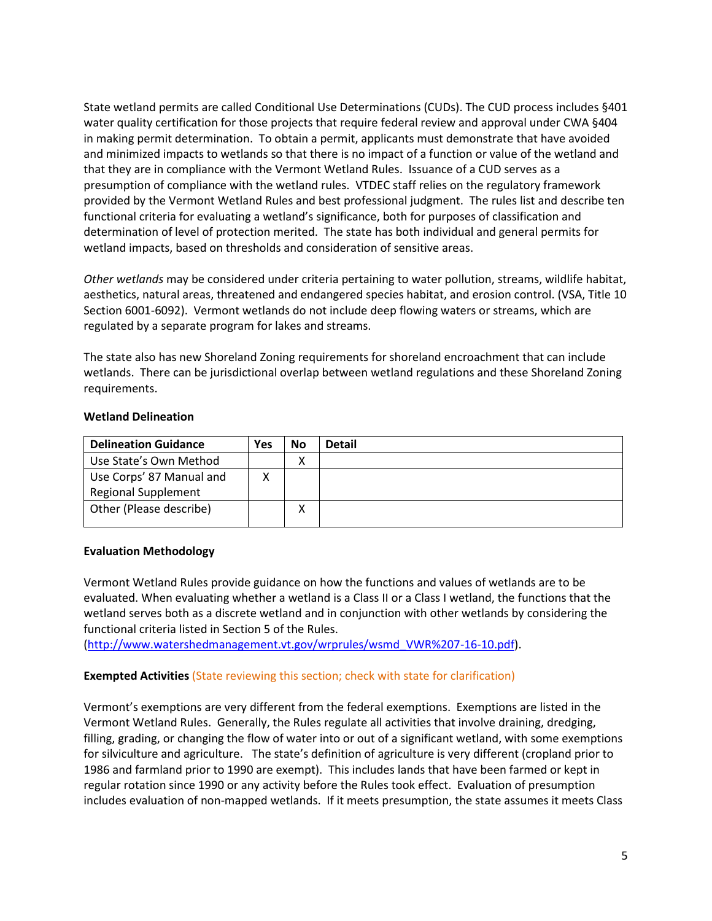State wetland permits are called Conditional Use Determinations (CUDs). The CUD process includes §401 water quality certification for those projects that require federal review and approval under CWA §404 in making permit determination. To obtain a permit, applicants must demonstrate that have avoided and minimized impacts to wetlands so that there is no impact of a function or value of the wetland and that they are in compliance with the Vermont Wetland Rules. Issuance of a CUD serves as a presumption of compliance with the wetland rules. VTDEC staff relies on the regulatory framework provided by the Vermont Wetland Rules and best professional judgment. The rules list and describe ten functional criteria for evaluating a wetland's significance, both for purposes of classification and determination of level of protection merited. The state has both individual and general permits for wetland impacts, based on thresholds and consideration of sensitive areas.

*Other wetlands* may be considered under criteria pertaining to water pollution, streams, wildlife habitat, aesthetics, natural areas, threatened and endangered species habitat, and erosion control. (VSA, Title 10 Section 6001-6092). Vermont wetlands do not include deep flowing waters or streams, which are regulated by a separate program for lakes and streams.

The state also has new Shoreland Zoning requirements for shoreland encroachment that can include wetlands. There can be jurisdictional overlap between wetland regulations and these Shoreland Zoning requirements.

### **Wetland Delineation**

| <b>Delineation Guidance</b> | Yes | No | <b>Detail</b> |
|-----------------------------|-----|----|---------------|
| Use State's Own Method      |     | х  |               |
| Use Corps' 87 Manual and    |     |    |               |
| <b>Regional Supplement</b>  |     |    |               |
| Other (Please describe)     |     | х  |               |
|                             |     |    |               |

### **Evaluation Methodology**

Vermont Wetland Rules provide guidance on how the functions and values of wetlands are to be evaluated. When evaluating whether a wetland is a Class II or a Class I wetland, the functions that the wetland serves both as a discrete wetland and in conjunction with other wetlands by considering the functional criteria listed in Section 5 of the Rules.

[\(http://www.watershedmanagement.vt.gov/wrprules/wsmd\\_VWR%207-16-10.pdf\)](http://www.watershedmanagement.vt.gov/wrprules/wsmd_VWR%207-16-10.pdf).

### **Exempted Activities** (State reviewing this section; check with state for clarification)

Vermont's exemptions are very different from the federal exemptions. Exemptions are listed in the Vermont Wetland Rules. Generally, the Rules regulate all activities that involve draining, dredging, filling, grading, or changing the flow of water into or out of a significant wetland, with some exemptions for silviculture and agriculture. The state's definition of agriculture is very different (cropland prior to 1986 and farmland prior to 1990 are exempt). This includes lands that have been farmed or kept in regular rotation since 1990 or any activity before the Rules took effect. Evaluation of presumption includes evaluation of non-mapped wetlands. If it meets presumption, the state assumes it meets Class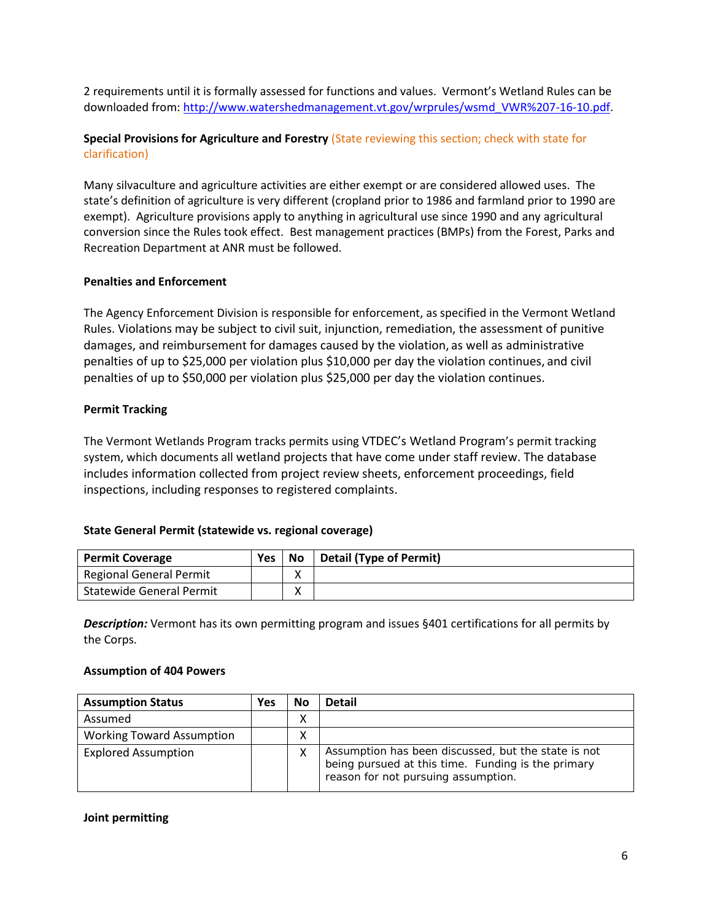2 requirements until it is formally assessed for functions and values. Vermont's Wetland Rules can be downloaded from[: http://www.watershedmanagement.vt.gov/wrprules/wsmd\\_VWR%207-16-10.pdf.](http://www.watershedmanagement.vt.gov/wrprules/wsmd_VWR%207-16-10.pdf)

# **Special Provisions for Agriculture and Forestry** (State reviewing this section; check with state for clarification)

Many silvaculture and agriculture activities are either exempt or are considered allowed uses. The state's definition of agriculture is very different (cropland prior to 1986 and farmland prior to 1990 are exempt). Agriculture provisions apply to anything in agricultural use since 1990 and any agricultural conversion since the Rules took effect. Best management practices (BMPs) from the Forest, Parks and Recreation Department at ANR must be followed.

## **Penalties and Enforcement**

The Agency Enforcement Division is responsible for enforcement, as specified in the Vermont Wetland Rules. Violations may be subject to civil suit, injunction, remediation, the assessment of punitive damages, and reimbursement for damages caused by the violation, as well as administrative penalties of up to \$25,000 per violation plus \$10,000 per day the violation continues, and civil penalties of up to \$50,000 per violation plus \$25,000 per day the violation continues.

## **Permit Tracking**

The Vermont Wetlands Program tracks permits using VTDEC's Wetland Program's permit tracking system, which documents all wetland projects that have come under staff review. The database includes information collected from project review sheets, enforcement proceedings, field inspections, including responses to registered complaints.

# **State General Permit (statewide vs. regional coverage)**

| <b>Permit Coverage</b>          | <b>Yes</b> | No | <b>Detail (Type of Permit)</b> |
|---------------------------------|------------|----|--------------------------------|
| Regional General Permit         |            |    |                                |
| <b>Statewide General Permit</b> |            | '  |                                |

*Description:* Vermont has its own permitting program and issues §401 certifications for all permits by the Corps.

### **Assumption of 404 Powers**

| <b>Assumption Status</b>         | Yes | No | <b>Detail</b>                                                                                                                                    |
|----------------------------------|-----|----|--------------------------------------------------------------------------------------------------------------------------------------------------|
| Assumed                          |     | Λ  |                                                                                                                                                  |
| <b>Working Toward Assumption</b> |     | ∧  |                                                                                                                                                  |
| <b>Explored Assumption</b>       |     | х  | Assumption has been discussed, but the state is not<br>being pursued at this time. Funding is the primary<br>reason for not pursuing assumption. |

#### **Joint permitting**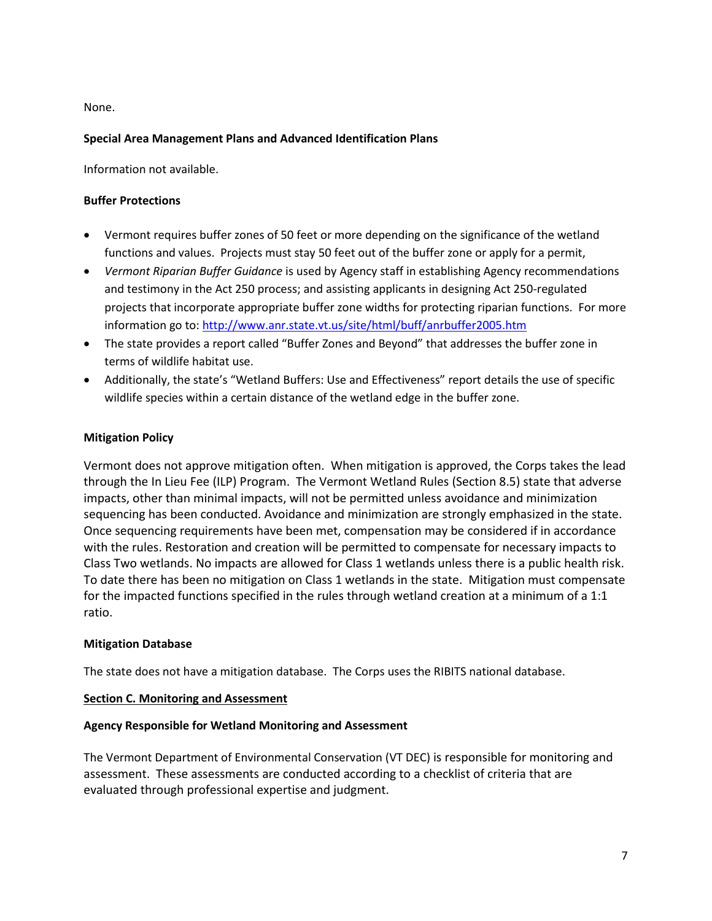None.

# **Special Area Management Plans and Advanced Identification Plans**

Information not available.

### **Buffer Protections**

- Vermont requires buffer zones of 50 feet or more depending on the significance of the wetland functions and values. Projects must stay 50 feet out of the buffer zone or apply for a permit,
- *Vermont Riparian Buffer Guidance* is used by Agency staff in establishing Agency recommendations and testimony in the Act 250 process; and assisting applicants in designing Act 250-regulated projects that incorporate appropriate buffer zone widths for protecting riparian functions. For more information go to:<http://www.anr.state.vt.us/site/html/buff/anrbuffer2005.htm>
- The state provides a report called "Buffer Zones and Beyond" that addresses the buffer zone in terms of wildlife habitat use.
- Additionally, the state's "Wetland Buffers: Use and Effectiveness" report details the use of specific wildlife species within a certain distance of the wetland edge in the buffer zone.

## **Mitigation Policy**

Vermont does not approve mitigation often. When mitigation is approved, the Corps takes the lead through the In Lieu Fee (ILP) Program. The Vermont Wetland Rules (Section 8.5) state that adverse impacts, other than minimal impacts, will not be permitted unless avoidance and minimization sequencing has been conducted. Avoidance and minimization are strongly emphasized in the state. Once sequencing requirements have been met, compensation may be considered if in accordance with the rules. Restoration and creation will be permitted to compensate for necessary impacts to Class Two wetlands. No impacts are allowed for Class 1 wetlands unless there is a public health risk. To date there has been no mitigation on Class 1 wetlands in the state. Mitigation must compensate for the impacted functions specified in the rules through wetland creation at a minimum of a 1:1 ratio.

### **Mitigation Database**

The state does not have a mitigation database. The Corps uses the RIBITS national database.

### <span id="page-6-0"></span>**Section C. Monitoring and Assessment**

### **Agency Responsible for Wetland Monitoring and Assessment**

The Vermont Department of Environmental Conservation (VT DEC) is responsible for monitoring and assessment. These assessments are conducted according to a checklist of criteria that are evaluated through professional expertise and judgment.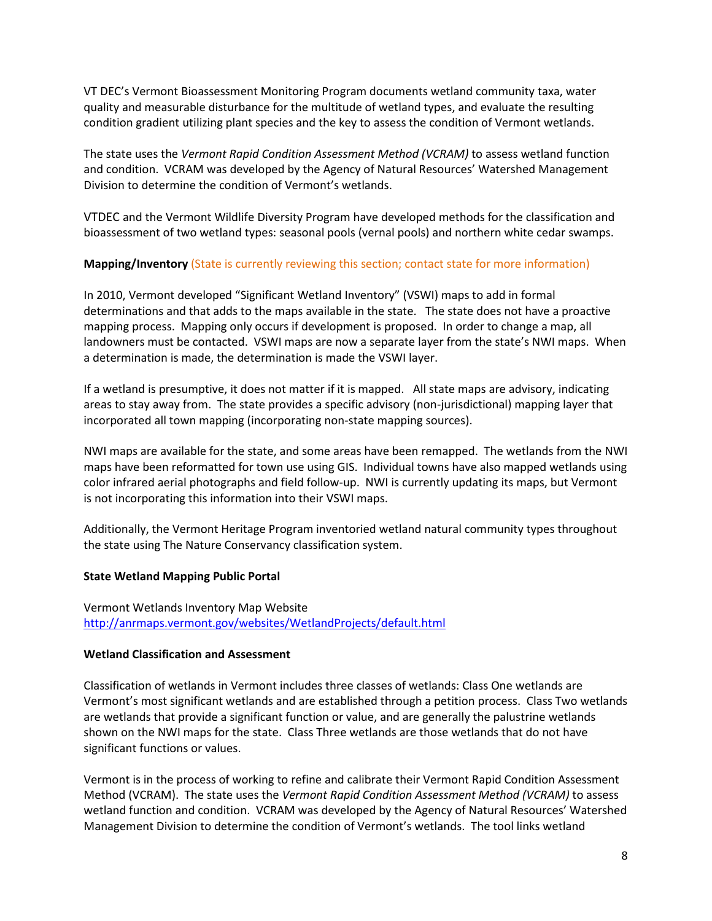VT DEC's Vermont Bioassessment Monitoring Program documents wetland community taxa, water quality and measurable disturbance for the multitude of wetland types, and evaluate the resulting condition gradient utilizing plant species and the key to assess the condition of Vermont wetlands.

The state uses the *Vermont Rapid Condition Assessment Method (VCRAM)* to assess wetland function and condition. VCRAM was developed by the Agency of Natural Resources' Watershed Management Division to determine the condition of Vermont's wetlands.

VTDEC and the Vermont Wildlife Diversity Program have developed methods for the classification and bioassessment of two wetland types: seasonal pools (vernal pools) and northern white cedar swamps.

## **Mapping/Inventory** (State is currently reviewing this section; contact state for more information)

In 2010, Vermont developed "Significant Wetland Inventory" (VSWI) maps to add in formal determinations and that adds to the maps available in the state. The state does not have a proactive mapping process. Mapping only occurs if development is proposed. In order to change a map, all landowners must be contacted. VSWI maps are now a separate layer from the state's NWI maps. When a determination is made, the determination is made the VSWI layer.

If a wetland is presumptive, it does not matter if it is mapped. All state maps are advisory, indicating areas to stay away from. The state provides a specific advisory (non-jurisdictional) mapping layer that incorporated all town mapping (incorporating non-state mapping sources).

NWI maps are available for the state, and some areas have been remapped. The wetlands from the NWI maps have been reformatted for town use using GIS. Individual towns have also mapped wetlands using color infrared aerial photographs and field follow-up. NWI is currently updating its maps, but Vermont is not incorporating this information into their VSWI maps.

Additionally, the Vermont Heritage Program inventoried wetland natural community types throughout the state using The Nature Conservancy classification system.

### **State Wetland Mapping Public Portal**

Vermont Wetlands Inventory Map Website <http://anrmaps.vermont.gov/websites/WetlandProjects/default.html>

### **Wetland Classification and Assessment**

Classification of wetlands in Vermont includes three classes of wetlands: Class One wetlands are Vermont's most significant wetlands and are established through a petition process. Class Two wetlands are wetlands that provide a significant function or value, and are generally the palustrine wetlands shown on the NWI maps for the state. Class Three wetlands are those wetlands that do not have significant functions or values.

Vermont is in the process of working to refine and calibrate their Vermont Rapid Condition Assessment Method (VCRAM). The state uses the *Vermont Rapid Condition Assessment Method (VCRAM)* to assess wetland function and condition. VCRAM was developed by the Agency of Natural Resources' Watershed Management Division to determine the condition of Vermont's wetlands. The tool links wetland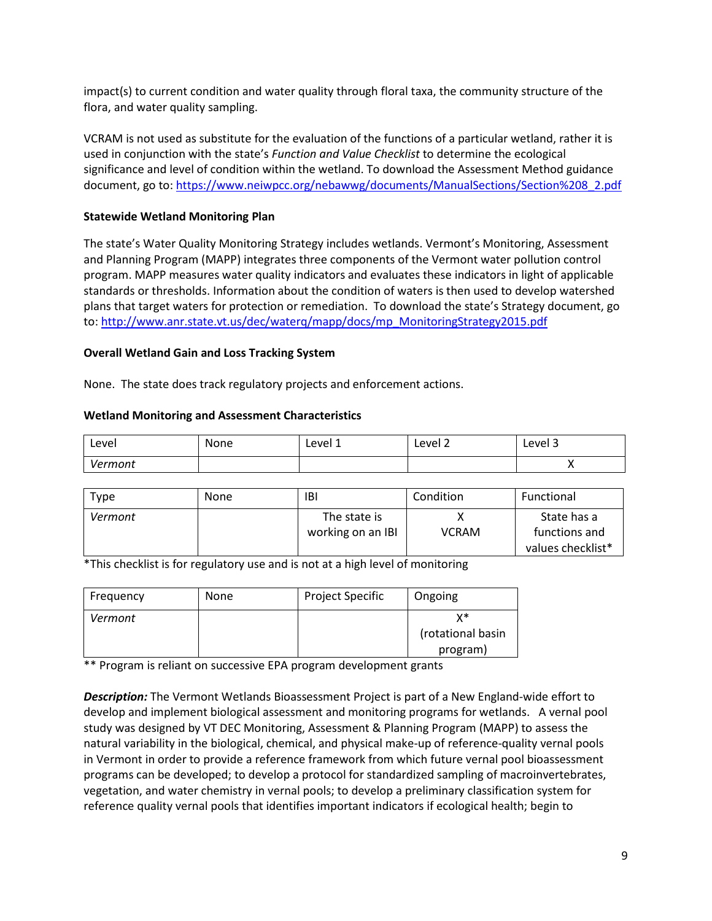impact(s) to current condition and water quality through floral taxa, the community structure of the flora, and water quality sampling.

VCRAM is not used as substitute for the evaluation of the functions of a particular wetland, rather it is used in conjunction with the state's *Function and Value Checklist* to determine the ecological significance and level of condition within the wetland. To download the Assessment Method guidance document, go to[: https://www.neiwpcc.org/nebawwg/documents/ManualSections/Section%208\\_2.pdf](https://www.neiwpcc.org/nebawwg/documents/ManualSections/Section%208_2.pdf)

### **Statewide Wetland Monitoring Plan**

The state's Water Quality Monitoring Strategy includes wetlands. Vermont's Monitoring, Assessment and Planning Program (MAPP) integrates three components of the Vermont water pollution control program. MAPP measures water quality indicators and evaluates these indicators in light of applicable standards or thresholds. Information about the condition of waters is then used to develop watershed plans that target waters for protection or remediation. To download the state's Strategy document, go to: [http://www.anr.state.vt.us/dec/waterq/mapp/docs/mp\\_MonitoringStrategy2015.pdf](http://www.anr.state.vt.us/dec/waterq/mapp/docs/mp_MonitoringStrategy2015.pdf)

### **Overall Wetland Gain and Loss Tracking System**

None. The state does track regulatory projects and enforcement actions.

#### **Wetland Monitoring and Assessment Characteristics**

| Level   | None | Level 1 | -<br>Level 2 | -<br>Level 3 |
|---------|------|---------|--------------|--------------|
| Vermont |      |         |              |              |

| <b>Type</b> | None | <b>IBI</b>                        | Condition    | Functional                   |
|-------------|------|-----------------------------------|--------------|------------------------------|
| Vermont     |      | The state is<br>working on an IBI | <b>VCRAM</b> | State has a<br>functions and |
|             |      |                                   |              | values checklist*            |

\*This checklist is for regulatory use and is not at a high level of monitoring

| Frequency | <b>None</b> | <b>Project Specific</b> | Ongoing                 |
|-----------|-------------|-------------------------|-------------------------|
| Vermont   |             |                         | y*<br>(rotational basin |
|           |             |                         | program)                |

\*\* Program is reliant on successive EPA program development grants

*Description:* The Vermont Wetlands Bioassessment Project is part of a New England-wide effort to develop and implement biological assessment and monitoring programs for wetlands. A vernal pool study was designed by VT DEC Monitoring, Assessment & Planning Program (MAPP) to assess the natural variability in the biological, chemical, and physical make-up of reference-quality vernal pools in Vermont in order to provide a reference framework from which future vernal pool bioassessment programs can be developed; to develop a protocol for standardized sampling of macroinvertebrates, vegetation, and water chemistry in vernal pools; to develop a preliminary classification system for reference quality vernal pools that identifies important indicators if ecological health; begin to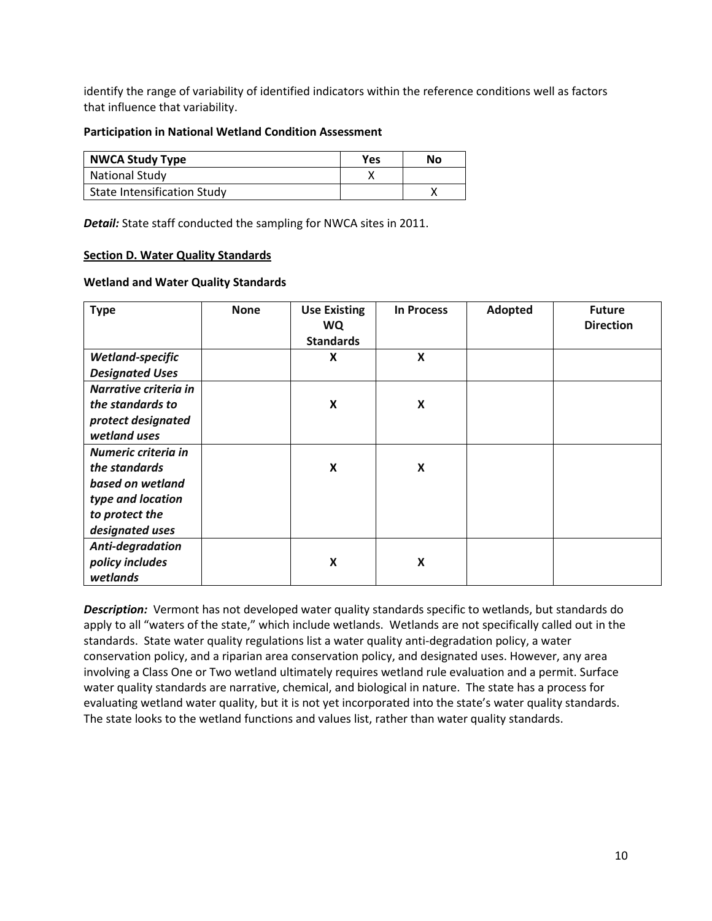identify the range of variability of identified indicators within the reference conditions well as factors that influence that variability.

#### **Participation in National Wetland Condition Assessment**

| <b>NWCA Study Type</b>      | Yes | No |
|-----------------------------|-----|----|
| <b>National Study</b>       |     |    |
| State Intensification Study |     |    |

*Detail:* State staff conducted the sampling for NWCA sites in 2011.

#### <span id="page-9-0"></span>**Section D. Water Quality Standards**

#### **Wetland and Water Quality Standards**

| <b>Type</b>            | <b>None</b> | <b>Use Existing</b><br><b>WQ</b><br><b>Standards</b> | <b>In Process</b> | Adopted | <b>Future</b><br><b>Direction</b> |
|------------------------|-------------|------------------------------------------------------|-------------------|---------|-----------------------------------|
| Wetland-specific       |             | $\pmb{\mathsf{X}}$                                   | X                 |         |                                   |
| <b>Designated Uses</b> |             |                                                      |                   |         |                                   |
| Narrative criteria in  |             |                                                      |                   |         |                                   |
| the standards to       |             | X                                                    | X                 |         |                                   |
| protect designated     |             |                                                      |                   |         |                                   |
| wetland uses           |             |                                                      |                   |         |                                   |
| Numeric criteria in    |             |                                                      |                   |         |                                   |
| the standards          |             | X                                                    | X                 |         |                                   |
| based on wetland       |             |                                                      |                   |         |                                   |
| type and location      |             |                                                      |                   |         |                                   |
| to protect the         |             |                                                      |                   |         |                                   |
| designated uses        |             |                                                      |                   |         |                                   |
| Anti-degradation       |             |                                                      |                   |         |                                   |
| policy includes        |             | $\boldsymbol{X}$                                     | X                 |         |                                   |
| wetlands               |             |                                                      |                   |         |                                   |

**Description:** Vermont has not developed water quality standards specific to wetlands, but standards do apply to all "waters of the state," which include wetlands. Wetlands are not specifically called out in the standards. State water quality regulations list a water quality anti-degradation policy, a water conservation policy, and a riparian area conservation policy, and designated uses. However, any area involving a Class One or Two wetland ultimately requires wetland rule evaluation and a permit. Surface water quality standards are narrative, chemical, and biological in nature. The state has a process for evaluating wetland water quality, but it is not yet incorporated into the state's water quality standards. The state looks to the wetland functions and values list, rather than water quality standards.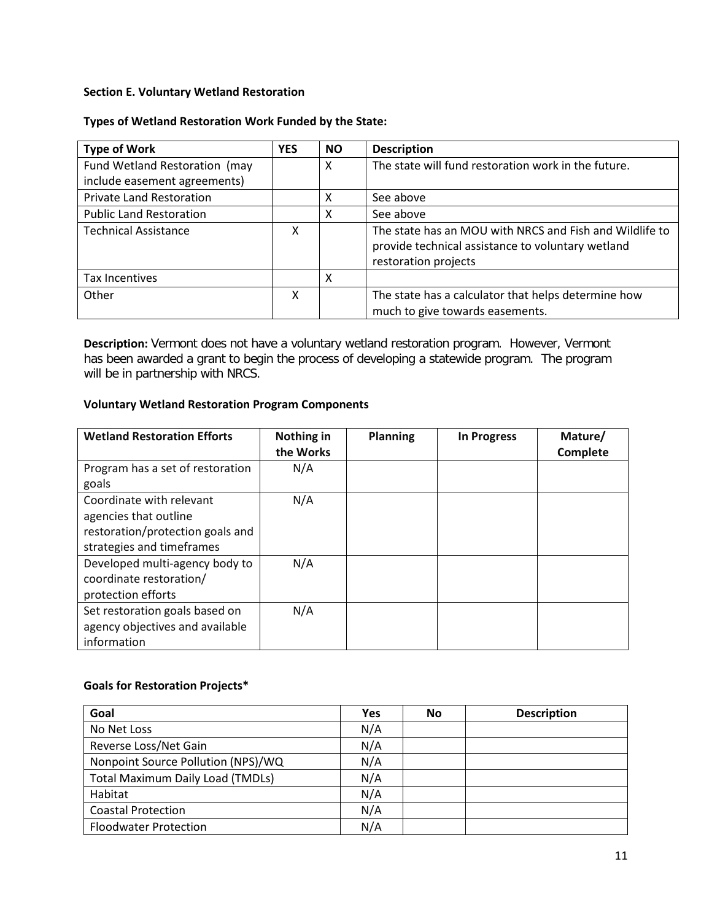### <span id="page-10-0"></span>**Section E. Voluntary Wetland Restoration**

### **Types of Wetland Restoration Work Funded by the State:**

| <b>Type of Work</b>             | <b>YES</b> | <b>NO</b> | <b>Description</b>                                                                                                                   |
|---------------------------------|------------|-----------|--------------------------------------------------------------------------------------------------------------------------------------|
| Fund Wetland Restoration (may   |            | x         | The state will fund restoration work in the future.                                                                                  |
| include easement agreements)    |            |           |                                                                                                                                      |
| <b>Private Land Restoration</b> |            | х         | See above                                                                                                                            |
| <b>Public Land Restoration</b>  |            | x         | See above                                                                                                                            |
| <b>Technical Assistance</b>     | χ          |           | The state has an MOU with NRCS and Fish and Wildlife to<br>provide technical assistance to voluntary wetland<br>restoration projects |
| Tax Incentives                  |            | х         |                                                                                                                                      |
| Other                           | x          |           | The state has a calculator that helps determine how<br>much to give towards easements.                                               |

**Description:** Vermont does not have a voluntary wetland restoration program. However, Vermont has been awarded a grant to begin the process of developing a statewide program. The program will be in partnership with NRCS.

## **Voluntary Wetland Restoration Program Components**

| <b>Wetland Restoration Efforts</b>                                                                                 | Nothing in<br>the Works | <b>Planning</b> | <b>In Progress</b> | Mature/<br>Complete |
|--------------------------------------------------------------------------------------------------------------------|-------------------------|-----------------|--------------------|---------------------|
| Program has a set of restoration<br>goals                                                                          | N/A                     |                 |                    |                     |
| Coordinate with relevant<br>agencies that outline<br>restoration/protection goals and<br>strategies and timeframes | N/A                     |                 |                    |                     |
| Developed multi-agency body to<br>coordinate restoration/<br>protection efforts                                    | N/A                     |                 |                    |                     |
| Set restoration goals based on<br>agency objectives and available<br>information                                   | N/A                     |                 |                    |                     |

# **Goals for Restoration Projects\***

| Goal                                    | Yes | No | <b>Description</b> |
|-----------------------------------------|-----|----|--------------------|
| No Net Loss                             | N/A |    |                    |
| Reverse Loss/Net Gain                   | N/A |    |                    |
| Nonpoint Source Pollution (NPS)/WQ      | N/A |    |                    |
| <b>Total Maximum Daily Load (TMDLs)</b> | N/A |    |                    |
| Habitat                                 | N/A |    |                    |
| <b>Coastal Protection</b>               | N/A |    |                    |
| <b>Floodwater Protection</b>            | N/A |    |                    |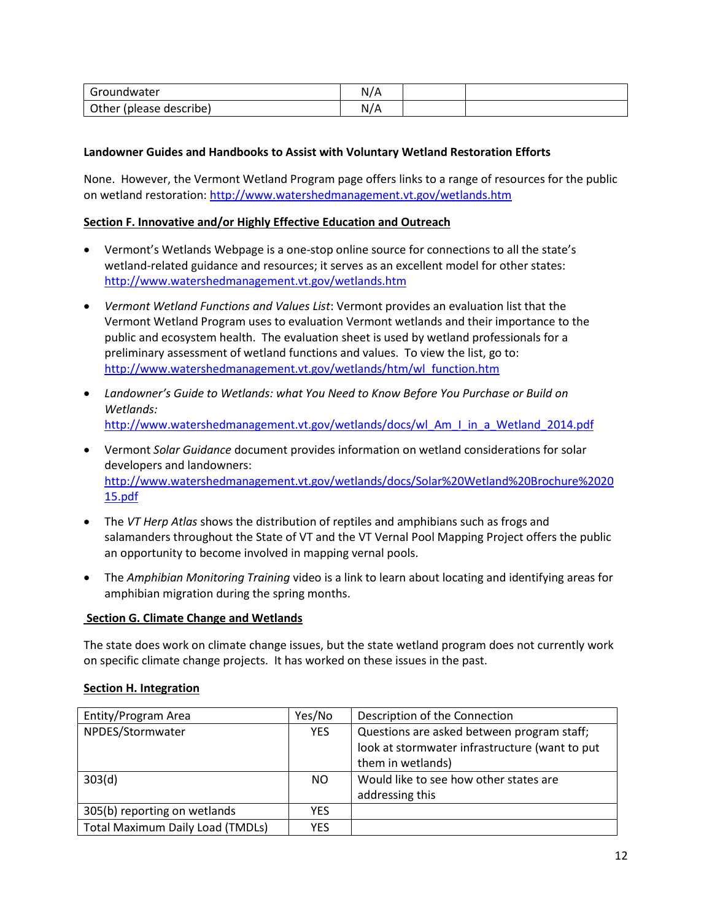| Groundwater                | N/A |  |
|----------------------------|-----|--|
| Other<br>(please describe) | N/A |  |

### **Landowner Guides and Handbooks to Assist with Voluntary Wetland Restoration Efforts**

None. However, the Vermont Wetland Program page offers links to a range of resources for the public on wetland restoration:<http://www.watershedmanagement.vt.gov/wetlands.htm>

### <span id="page-11-0"></span>**Section F. Innovative and/or Highly Effective Education and Outreach**

- Vermont's Wetlands Webpage is a one-stop online source for connections to all the state's wetland-related guidance and resources; it serves as an excellent model for other states: <http://www.watershedmanagement.vt.gov/wetlands.htm>
- *Vermont Wetland Functions and Values List*: Vermont provides an evaluation list that the Vermont Wetland Program uses to evaluation Vermont wetlands and their importance to the public and ecosystem health. The evaluation sheet is used by wetland professionals for a preliminary assessment of wetland functions and values. To view the list, go to: [http://www.watershedmanagement.vt.gov/wetlands/htm/wl\\_function.htm](http://www.watershedmanagement.vt.gov/wetlands/htm/wl_function.htm)
- *Landowner's Guide to Wetlands: what You Need to Know Before You Purchase or Build on Wetlands:* [http://www.watershedmanagement.vt.gov/wetlands/docs/wl\\_Am\\_I\\_in\\_a\\_Wetland\\_2014.pdf](http://www.watershedmanagement.vt.gov/wetlands/docs/wl_Am_I_in_a_Wetland_2014.pdf)
- Vermont *Solar Guidance* document provides information on wetland considerations for solar developers and landowners: [http://www.watershedmanagement.vt.gov/wetlands/docs/Solar%20Wetland%20Brochure%2020](http://www.watershedmanagement.vt.gov/wetlands/docs/Solar%20Wetland%20Brochure%202015.pdf) [15.pdf](http://www.watershedmanagement.vt.gov/wetlands/docs/Solar%20Wetland%20Brochure%202015.pdf)
- The *VT Herp Atlas* shows the distribution of reptiles and amphibians such as frogs and salamanders throughout the State of VT and the VT Vernal Pool Mapping Project offers the public an opportunity to become involved in mapping vernal pools.
- The *Amphibian Monitoring Training* video is a link to learn about locating and identifying areas for amphibian migration during the spring months.

#### **Section G. Climate Change and Wetlands**

The state does work on climate change issues, but the state wetland program does not currently work on specific climate change projects. It has worked on these issues in the past.

### <span id="page-11-1"></span>**Section H. Integration**

| Entity/Program Area                     | Yes/No     | Description of the Connection                                                                                     |
|-----------------------------------------|------------|-------------------------------------------------------------------------------------------------------------------|
| NPDES/Stormwater                        | <b>YES</b> | Questions are asked between program staff;<br>look at stormwater infrastructure (want to put<br>them in wetlands) |
| 303(d)                                  | NO.        | Would like to see how other states are<br>addressing this                                                         |
|                                         |            |                                                                                                                   |
| 305(b) reporting on wetlands            | YES.       |                                                                                                                   |
| <b>Total Maximum Daily Load (TMDLs)</b> | YFS.       |                                                                                                                   |